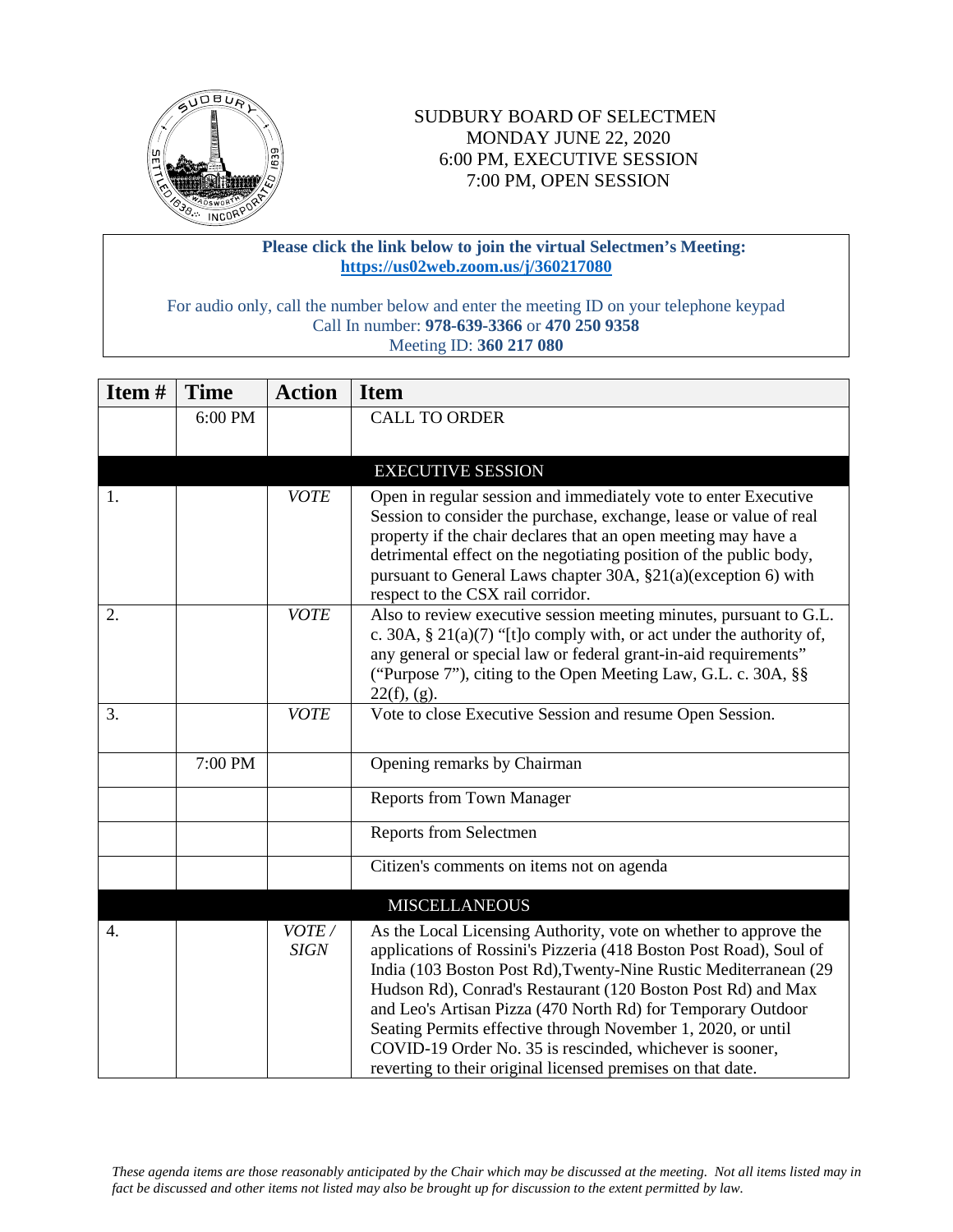

## SUDBURY BOARD OF SELECTMEN MONDAY JUNE 22, 2020 6:00 PM, EXECUTIVE SESSION 7:00 PM, OPEN SESSION

## **Please click the link below to join the virtual Selectmen's Meeting: <https://us02web.zoom.us/j/360217080>**

For audio only, call the number below and enter the meeting ID on your telephone keypad Call In number: **978-639-3366** or **470 250 9358** Meeting ID: **360 217 080**

| Item# | <b>Time</b> | <b>Action</b>        | <b>Item</b>                                                                                                                                                                                                                                                                                                                                                                                                                                                                                                                           |
|-------|-------------|----------------------|---------------------------------------------------------------------------------------------------------------------------------------------------------------------------------------------------------------------------------------------------------------------------------------------------------------------------------------------------------------------------------------------------------------------------------------------------------------------------------------------------------------------------------------|
|       | 6:00 PM     |                      | <b>CALL TO ORDER</b>                                                                                                                                                                                                                                                                                                                                                                                                                                                                                                                  |
|       |             |                      |                                                                                                                                                                                                                                                                                                                                                                                                                                                                                                                                       |
|       |             |                      | <b>EXECUTIVE SESSION</b>                                                                                                                                                                                                                                                                                                                                                                                                                                                                                                              |
| 1.    |             | <b>VOTE</b>          | Open in regular session and immediately vote to enter Executive<br>Session to consider the purchase, exchange, lease or value of real<br>property if the chair declares that an open meeting may have a<br>detrimental effect on the negotiating position of the public body,<br>pursuant to General Laws chapter 30A, §21(a)(exception 6) with<br>respect to the CSX rail corridor.                                                                                                                                                  |
| 2.    |             | <b>VOTE</b>          | Also to review executive session meeting minutes, pursuant to G.L.<br>c. 30A, § 21(a)(7) "[t]o comply with, or act under the authority of,<br>any general or special law or federal grant-in-aid requirements"<br>("Purpose 7"), citing to the Open Meeting Law, G.L. c. 30A, §§<br>$22(f)$ , (g).                                                                                                                                                                                                                                    |
| 3.    |             | <b>VOTE</b>          | Vote to close Executive Session and resume Open Session.                                                                                                                                                                                                                                                                                                                                                                                                                                                                              |
|       | 7:00 PM     |                      | Opening remarks by Chairman                                                                                                                                                                                                                                                                                                                                                                                                                                                                                                           |
|       |             |                      | <b>Reports from Town Manager</b>                                                                                                                                                                                                                                                                                                                                                                                                                                                                                                      |
|       |             |                      | Reports from Selectmen                                                                                                                                                                                                                                                                                                                                                                                                                                                                                                                |
|       |             |                      | Citizen's comments on items not on agenda                                                                                                                                                                                                                                                                                                                                                                                                                                                                                             |
|       |             |                      | <b>MISCELLANEOUS</b>                                                                                                                                                                                                                                                                                                                                                                                                                                                                                                                  |
| 4.    |             | VOTE/<br><b>SIGN</b> | As the Local Licensing Authority, vote on whether to approve the<br>applications of Rossini's Pizzeria (418 Boston Post Road), Soul of<br>India (103 Boston Post Rd), Twenty-Nine Rustic Mediterranean (29<br>Hudson Rd), Conrad's Restaurant (120 Boston Post Rd) and Max<br>and Leo's Artisan Pizza (470 North Rd) for Temporary Outdoor<br>Seating Permits effective through November 1, 2020, or until<br>COVID-19 Order No. 35 is rescinded, whichever is sooner,<br>reverting to their original licensed premises on that date. |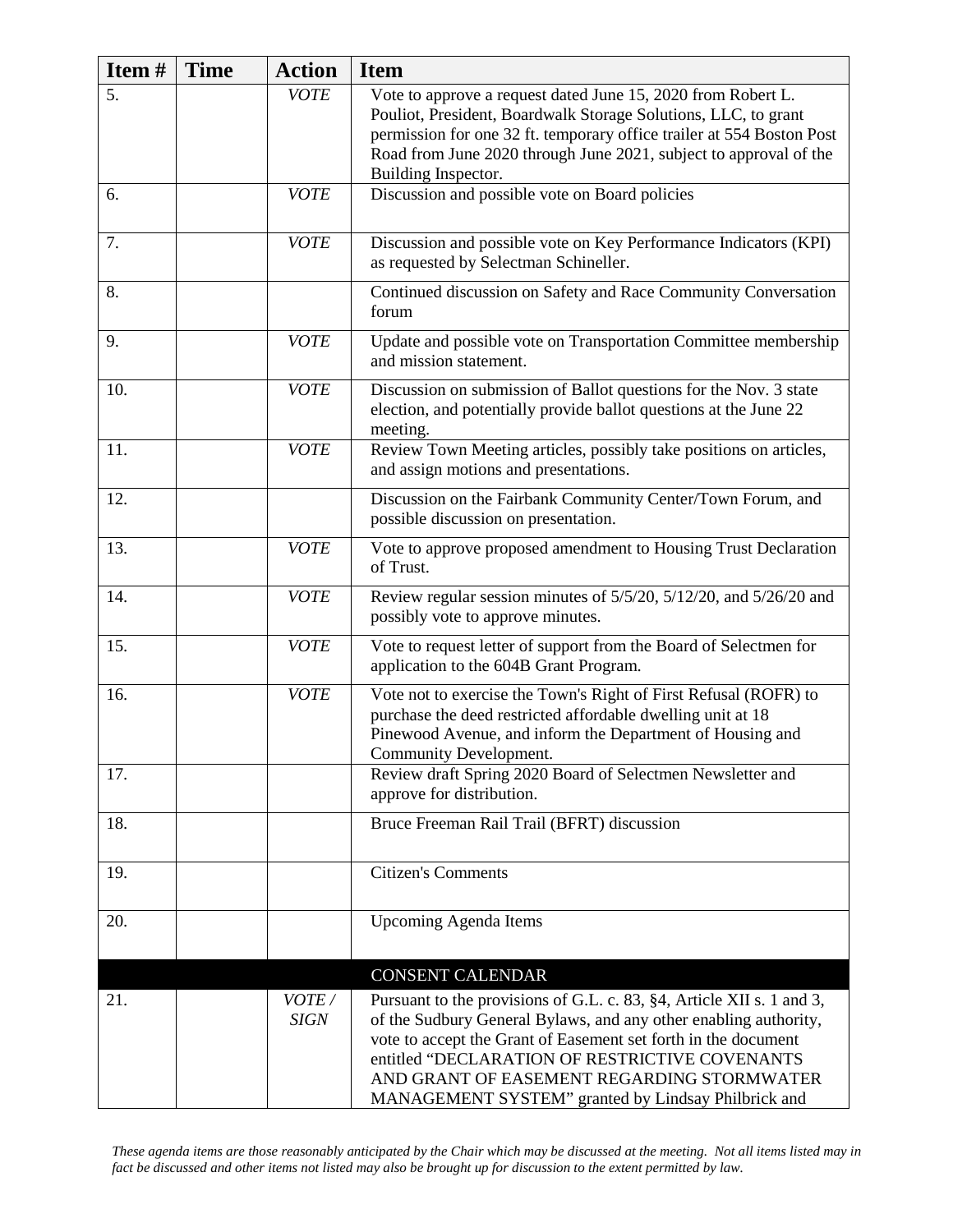| Item# | <b>Time</b> | <b>Action</b>        | <b>Item</b>                                                                                                                                                                                                                                                                                                                                                        |
|-------|-------------|----------------------|--------------------------------------------------------------------------------------------------------------------------------------------------------------------------------------------------------------------------------------------------------------------------------------------------------------------------------------------------------------------|
| 5.    |             | <b>VOTE</b>          | Vote to approve a request dated June 15, 2020 from Robert L.<br>Pouliot, President, Boardwalk Storage Solutions, LLC, to grant<br>permission for one 32 ft. temporary office trailer at 554 Boston Post<br>Road from June 2020 through June 2021, subject to approval of the<br>Building Inspector.                                                                |
| 6.    |             | <b>VOTE</b>          | Discussion and possible vote on Board policies                                                                                                                                                                                                                                                                                                                     |
| 7.    |             | <b>VOTE</b>          | Discussion and possible vote on Key Performance Indicators (KPI)<br>as requested by Selectman Schineller.                                                                                                                                                                                                                                                          |
| 8.    |             |                      | Continued discussion on Safety and Race Community Conversation<br>forum                                                                                                                                                                                                                                                                                            |
| 9.    |             | <b>VOTE</b>          | Update and possible vote on Transportation Committee membership<br>and mission statement.                                                                                                                                                                                                                                                                          |
| 10.   |             | <b>VOTE</b>          | Discussion on submission of Ballot questions for the Nov. 3 state<br>election, and potentially provide ballot questions at the June 22<br>meeting.                                                                                                                                                                                                                 |
| 11.   |             | <b>VOTE</b>          | Review Town Meeting articles, possibly take positions on articles,<br>and assign motions and presentations.                                                                                                                                                                                                                                                        |
| 12.   |             |                      | Discussion on the Fairbank Community Center/Town Forum, and<br>possible discussion on presentation.                                                                                                                                                                                                                                                                |
| 13.   |             | <b>VOTE</b>          | Vote to approve proposed amendment to Housing Trust Declaration<br>of Trust.                                                                                                                                                                                                                                                                                       |
| 14.   |             | <b>VOTE</b>          | Review regular session minutes of 5/5/20, 5/12/20, and 5/26/20 and<br>possibly vote to approve minutes.                                                                                                                                                                                                                                                            |
| 15.   |             | <b>VOTE</b>          | Vote to request letter of support from the Board of Selectmen for<br>application to the 604B Grant Program.                                                                                                                                                                                                                                                        |
| 16.   |             | <b>VOTE</b>          | Vote not to exercise the Town's Right of First Refusal (ROFR) to<br>purchase the deed restricted affordable dwelling unit at 18<br>Pinewood Avenue, and inform the Department of Housing and<br>Community Development.                                                                                                                                             |
| 17.   |             |                      | Review draft Spring 2020 Board of Selectmen Newsletter and<br>approve for distribution.                                                                                                                                                                                                                                                                            |
| 18.   |             |                      | Bruce Freeman Rail Trail (BFRT) discussion                                                                                                                                                                                                                                                                                                                         |
| 19.   |             |                      | <b>Citizen's Comments</b>                                                                                                                                                                                                                                                                                                                                          |
| 20.   |             |                      | <b>Upcoming Agenda Items</b>                                                                                                                                                                                                                                                                                                                                       |
|       |             |                      | <b>CONSENT CALENDAR</b>                                                                                                                                                                                                                                                                                                                                            |
| 21.   |             | VOTE/<br><b>SIGN</b> | Pursuant to the provisions of G.L. c. 83, §4, Article XII s. 1 and 3,<br>of the Sudbury General Bylaws, and any other enabling authority,<br>vote to accept the Grant of Easement set forth in the document<br>entitled "DECLARATION OF RESTRICTIVE COVENANTS<br>AND GRANT OF EASEMENT REGARDING STORMWATER<br>MANAGEMENT SYSTEM" granted by Lindsay Philbrick and |

*These agenda items are those reasonably anticipated by the Chair which may be discussed at the meeting. Not all items listed may in fact be discussed and other items not listed may also be brought up for discussion to the extent permitted by law.*